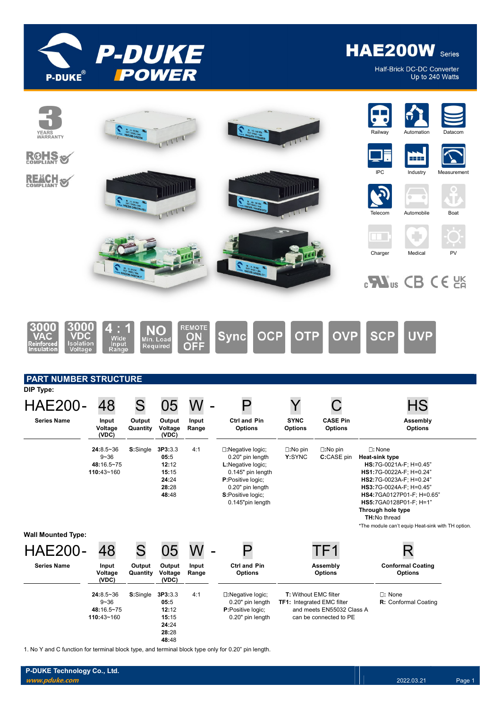

Half-Brick DC-DC Converter Up to 240 Watts



1. No Y and C function for terminal block type, and terminal block type only for 0.20" pin length.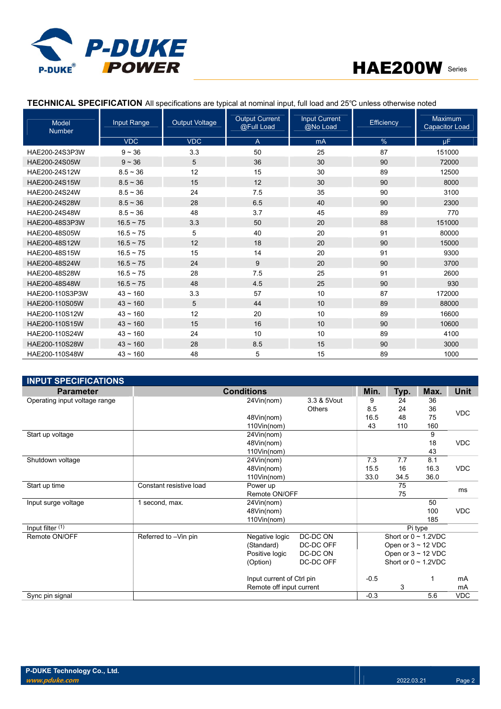

| <b>Model</b><br><b>Number</b> | Input Range    | <b>Output Voltage</b> | <b>Output Current</b><br>@Full Load | <b>Input Current</b><br>@No Load | Efficiency | Maximum<br><b>Capacitor Load</b> |
|-------------------------------|----------------|-----------------------|-------------------------------------|----------------------------------|------------|----------------------------------|
|                               | <b>VDC</b>     | <b>VDC</b>            | A                                   | mA                               | $\%$       | μF.                              |
| HAE200-24S3P3W                | $9 - 36$       | 3.3                   | 50                                  | 25                               | 87         | 151000                           |
| HAE200-24S05W                 | $9 - 36$       | 5                     | 36                                  | 30                               | 90         | 72000                            |
| HAE200-24S12W                 | $8.5 \sim 36$  | 12                    | 15                                  | 30                               | 89         | 12500                            |
| HAE200-24S15W                 | $8.5 \sim 36$  | 15                    | 12                                  | 30                               | 90         | 8000                             |
| HAE200-24S24W                 | $8.5 - 36$     | 24                    | 7.5                                 | 35                               | 90         | 3100                             |
| HAE200-24S28W                 | $8.5 \sim 36$  | 28                    | 6.5                                 | 40                               | 90         | 2300                             |
| HAE200-24S48W                 | $8.5 - 36$     | 48                    | 3.7                                 | 45                               | 89         | 770                              |
| HAE200-48S3P3W                | $16.5 - 75$    | 3.3                   | 50                                  | 20                               | 88         | 151000                           |
| HAE200-48S05W                 | $16.5 - 75$    | 5                     | 40                                  | 20                               | 91         | 80000                            |
| HAE200-48S12W                 | $16.5 \sim 75$ | 12                    | 18                                  | 20                               | 90         | 15000                            |
| HAE200-48S15W                 | $16.5 \sim 75$ | 15                    | 14                                  | 20                               | 91         | 9300                             |
| HAE200-48S24W                 | $16.5 \sim 75$ | 24                    | 9                                   | 20                               | 90         | 3700                             |
| HAE200-48S28W                 | $16.5 \sim 75$ | 28                    | 7.5                                 | 25                               | 91         | 2600                             |
| HAE200-48S48W                 | $16.5 \sim 75$ | 48                    | 4.5                                 | 25                               | 90         | 930                              |
| HAE200-110S3P3W               | $43 \sim 160$  | 3.3                   | 57                                  | 10                               | 87         | 172000                           |
| HAE200-110S05W                | $43 \sim 160$  | 5                     | 44                                  | 10                               | 89         | 88000                            |
| HAE200-110S12W                | $43 - 160$     | 12                    | 20                                  | 10                               | 89         | 16600                            |
| HAE200-110S15W                | $43 \sim 160$  | 15                    | 16                                  | 10                               | 90         | 10600                            |
| HAE200-110S24W                | $43 - 160$     | 24                    | 10                                  | 10                               | 89         | 4100                             |
| HAE200-110S28W                | $43 \sim 160$  | 28                    | 8.5                                 | 15                               | 90         | 3000                             |
| HAE200-110S48W                | $43 - 160$     | 48                    | 5                                   | 15                               | 89         | 1000                             |

## TECHNICAL SPECIFICATION All specifications are typical at nominal input, full load and 25℃ unless otherwise noted

| <b>INPUT SPECIFICATIONS</b>   |                         |                           |             |        |                           |         |             |
|-------------------------------|-------------------------|---------------------------|-------------|--------|---------------------------|---------|-------------|
| <b>Parameter</b>              |                         | <b>Conditions</b>         |             | Min.   | Typ.                      | Max.    | <b>Unit</b> |
| Operating input voltage range |                         | 24Vin(nom)                | 3.3 & 5Vout | 9      | 24                        | 36      |             |
|                               |                         |                           | Others      | 8.5    | 24                        | 36      | <b>VDC</b>  |
|                               |                         | 48Vin(nom)                |             | 16.5   | 48                        | 75      |             |
|                               |                         | 110Vin(nom)               |             | 43     | 110                       | 160     |             |
| Start up voltage              |                         | 24Vin(nom)                |             |        |                           | 9       |             |
|                               |                         | 48Vin(nom)                |             |        |                           | 18      | <b>VDC</b>  |
|                               |                         | 110Vin(nom)               |             |        |                           | 43      |             |
| Shutdown voltage              |                         | 24Vin(nom)                |             | 7.3    | 7.7                       | 8.1     |             |
|                               |                         | 48Vin(nom)                |             | 15.5   | 16                        | 16.3    | <b>VDC</b>  |
|                               |                         | 110Vin(nom)               |             | 33.0   | 34.5                      | 36.0    |             |
| Start up time                 | Constant resistive load | Power up                  |             |        | 75                        |         | ms          |
|                               |                         | Remote ON/OFF             |             |        | 75                        |         |             |
| Input surge voltage           | 1 second, max.          | 24Vin(nom)                |             |        |                           | 50      |             |
|                               |                         | 48Vin(nom)                |             |        |                           | 100     | <b>VDC</b>  |
|                               |                         | 110Vin(nom)               |             |        |                           | 185     |             |
| Input filter (1)              |                         |                           |             |        |                           | Pi type |             |
| Remote ON/OFF                 | Referred to -Vin pin    | Negative logic            | DC-DC ON    |        | Short or $0 \sim 1.2$ VDC |         |             |
|                               |                         | (Standard)                | DC-DC OFF   |        | Open or $3 \sim 12$ VDC   |         |             |
|                               |                         | Positive logic            | DC-DC ON    |        | Open or $3 \sim 12$ VDC   |         |             |
|                               |                         | (Option)                  | DC-DC OFF   |        | Short or $0 \sim 1.2$ VDC |         |             |
|                               |                         | Input current of Ctrl pin |             | $-0.5$ |                           |         | mA          |
|                               |                         | Remote off input current  |             |        | 3                         |         | mA          |
| Sync pin signal               |                         |                           |             | $-0.3$ |                           | 5.6     | <b>VDC</b>  |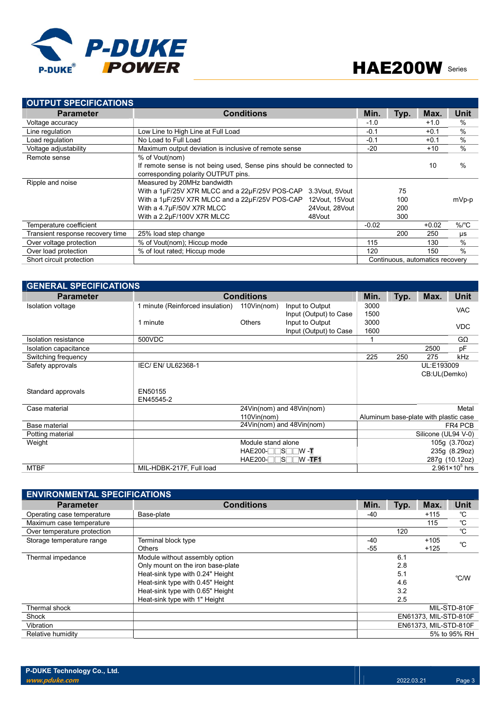

| <b>OUTPUT SPECIFICATIONS</b>     |                                                                      |                |         |      |                                 |               |
|----------------------------------|----------------------------------------------------------------------|----------------|---------|------|---------------------------------|---------------|
| <b>Parameter</b>                 | <b>Conditions</b>                                                    |                | Min.    | Typ. | Max.                            | Unit          |
| Voltage accuracy                 |                                                                      |                | $-1.0$  |      | $+1.0$                          | $\%$          |
| Line regulation                  | Low Line to High Line at Full Load                                   |                | $-0.1$  |      | $+0.1$                          | $\frac{0}{0}$ |
| Load regulation                  | No Load to Full Load                                                 |                | $-0.1$  |      | $+0.1$                          | $\frac{0}{0}$ |
| Voltage adjustability            | Maximum output deviation is inclusive of remote sense                |                | $-20$   |      | $+10$                           | $\%$          |
| Remote sense                     | % of Vout(nom)                                                       |                |         |      |                                 |               |
|                                  | If remote sense is not being used. Sense pins should be connected to |                |         |      | 10                              | %             |
|                                  | corresponding polarity OUTPUT pins.                                  |                |         |      |                                 |               |
| Ripple and noise                 | Measured by 20MHz bandwidth                                          |                |         |      |                                 |               |
|                                  | With a 1µF/25V X7R MLCC and a 22µF/25V POS-CAP                       | 3.3Vout. 5Vout |         | 75   |                                 |               |
|                                  | With a 1µF/25V X7R MLCC and a 22µF/25V POS-CAP                       | 12Vout, 15Vout |         | 100  |                                 | mVp-p         |
|                                  | With a 4.7µF/50V X7R MLCC                                            | 24Vout, 28Vout |         | 200  |                                 |               |
|                                  | With a 2.2µF/100V X7R MLCC                                           | 48Vout         |         | 300  |                                 |               |
| Temperature coefficient          |                                                                      |                | $-0.02$ |      | $+0.02$                         | $\%$ /°C      |
| Transient response recovery time | 25% load step change                                                 |                |         | 200  | 250                             | $\mu s$       |
| Over voltage protection          | % of Vout(nom); Hiccup mode                                          |                | 115     |      | 130                             | $\%$          |
| Over load protection             | % of lout rated; Hiccup mode                                         |                | 120     |      | 150                             | $\frac{0}{0}$ |
| Short circuit protection         |                                                                      |                |         |      | Continuous, automatics recovery |               |

| <b>GENERAL SPECIFICATIONS</b> |                                  |                    |                           |      |      |                                       |                         |
|-------------------------------|----------------------------------|--------------------|---------------------------|------|------|---------------------------------------|-------------------------|
| <b>Parameter</b>              |                                  | <b>Conditions</b>  |                           | Min. | Typ. | Max.                                  | Unit                    |
| Isolation voltage             | 1 minute (Reinforced insulation) | $110$ Vin(nom)     | Input to Output           | 3000 |      |                                       | <b>VAC</b>              |
|                               |                                  |                    | Input (Output) to Case    | 1500 |      |                                       |                         |
|                               | 1 minute                         | <b>Others</b>      | Input to Output           | 3000 |      |                                       | <b>VDC</b>              |
|                               |                                  |                    | Input (Output) to Case    | 1600 |      |                                       |                         |
| Isolation resistance          | 500VDC                           |                    |                           |      |      |                                       | $G\Omega$               |
| Isolation capacitance         |                                  |                    |                           |      |      | 2500                                  | рF                      |
| Switching frequency           |                                  |                    |                           | 225  | 250  | 275                                   | kHz                     |
| Safety approvals              | IEC/ EN/ UL62368-1               |                    |                           |      |      | UL:E193009                            |                         |
|                               |                                  |                    |                           |      |      | CB:UL(Demko)                          |                         |
|                               |                                  |                    |                           |      |      |                                       |                         |
| Standard approvals            | EN50155                          |                    |                           |      |      |                                       |                         |
|                               | EN45545-2                        |                    |                           |      |      |                                       |                         |
| Case material                 |                                  |                    | 24Vin(nom) and 48Vin(nom) |      |      |                                       | Metal                   |
|                               |                                  | $110$ Vin(nom)     |                           |      |      | Aluminum base-plate with plastic case |                         |
| Base material                 |                                  |                    | 24Vin(nom) and 48Vin(nom) |      |      |                                       | FR4 PCB                 |
| Potting material              |                                  |                    |                           |      |      | Silicone (UL94 V-0)                   |                         |
| Weight                        |                                  | Module stand alone |                           |      |      |                                       | 105g (3.70oz)           |
|                               |                                  | $HAE200-TTSTW - T$ |                           |      |      |                                       | 235g (8.29oz)           |
|                               |                                  | $HAE200-TSTW -TF1$ |                           |      |      |                                       | 287g (10.12oz)          |
| <b>MTBF</b>                   | MIL-HDBK-217F, Full load         |                    |                           |      |      |                                       | $2.961 \times 10^5$ hrs |

| <b>ENVIRONMENTAL SPECIFICATIONS</b> |                                   |       |      |                       |              |
|-------------------------------------|-----------------------------------|-------|------|-----------------------|--------------|
| <b>Parameter</b>                    | <b>Conditions</b>                 | Min.  | Typ. | Max.                  | Unit         |
| Operating case temperature          | Base-plate                        | $-40$ |      | $+115$                | °C           |
| Maximum case temperature            |                                   |       |      | 115                   | $^{\circ}$ C |
| Over temperature protection         |                                   |       | 120  |                       | °C           |
| Storage temperature range           | Terminal block type               | $-40$ |      | $+105$                | °C           |
|                                     | <b>Others</b>                     | $-55$ |      | $+125$                |              |
| Thermal impedance                   | Module without assembly option    |       | 6.1  |                       |              |
|                                     | Only mount on the iron base-plate |       | 2.8  |                       |              |
|                                     | Heat-sink type with 0.24" Height  |       | 5.1  |                       | °C/W         |
|                                     | Heat-sink type with 0.45" Height  |       | 4.6  |                       |              |
|                                     | Heat-sink type with 0.65" Height  |       | 3.2  |                       |              |
|                                     | Heat-sink type with 1" Height     |       | 2.5  |                       |              |
| Thermal shock                       |                                   |       |      |                       | MIL-STD-810F |
| Shock                               |                                   |       |      | EN61373, MIL-STD-810F |              |
| Vibration                           |                                   |       |      | EN61373, MIL-STD-810F |              |
| Relative humidity                   |                                   |       |      |                       | 5% to 95% RH |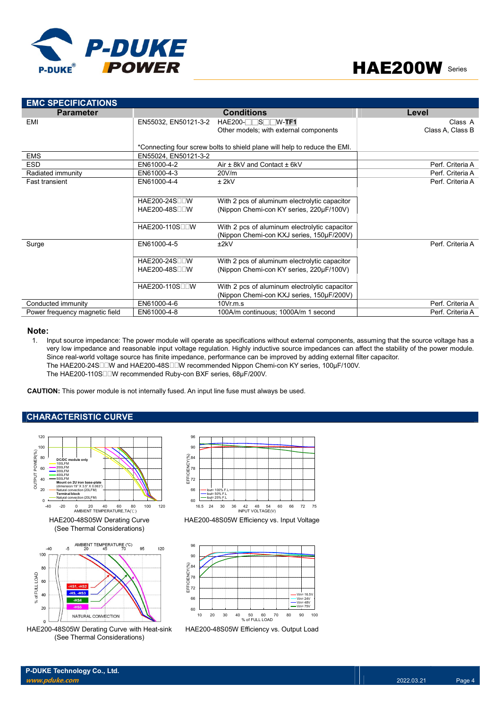



| <b>EMC SPECIFICATIONS</b>      |                             |                                                                           |                  |
|--------------------------------|-----------------------------|---------------------------------------------------------------------------|------------------|
| <b>Parameter</b>               |                             | <b>Conditions</b>                                                         | Level            |
| EMI                            | EN55032, EN50121-3-2        | $HAE200-TTST/W-TF1$                                                       | Class A          |
|                                |                             | Other models; with external components                                    | Class A, Class B |
|                                |                             |                                                                           |                  |
|                                |                             | *Connecting four screw bolts to shield plane will help to reduce the EMI. |                  |
| <b>EMS</b>                     | EN55024, EN50121-3-2        |                                                                           |                  |
| <b>ESD</b>                     | EN61000-4-2                 | Air ± 8kV and Contact ± 6kV                                               | Perf. Criteria A |
| Radiated immunity              | EN61000-4-3                 | 20V/m                                                                     | Perf. Criteria A |
| <b>Fast transient</b>          | EN61000-4-4                 | $±$ 2kV                                                                   | Perf. Criteria A |
|                                |                             |                                                                           |                  |
|                                | HAE200-24S∏∏W               | With 2 pcs of aluminum electrolytic capacitor                             |                  |
|                                | $HAE200-48S$                | (Nippon Chemi-con KY series, 220µF/100V)                                  |                  |
|                                |                             |                                                                           |                  |
|                                | HAE200-110S <sub>II</sub> W | With 2 pcs of aluminum electrolytic capacitor                             |                  |
|                                |                             | (Nippon Chemi-con KXJ series, 150µF/200V)                                 |                  |
| Surge                          | EN61000-4-5                 | ±2kV                                                                      | Perf. Criteria A |
|                                |                             |                                                                           |                  |
|                                | HAE200-24S□□W               | With 2 pcs of aluminum electrolytic capacitor                             |                  |
|                                | $HAE200-48S$                | (Nippon Chemi-con KY series, 220µF/100V)                                  |                  |
|                                |                             |                                                                           |                  |
|                                | HAE200-110S∏∏W              | With 2 pcs of aluminum electrolytic capacitor                             |                  |
|                                |                             | (Nippon Chemi-con KXJ series, 150µF/200V)                                 |                  |
| Conducted immunity             | EN61000-4-6                 | $10Vr$ m.s.                                                               | Perf. Criteria A |
| Power frequency magnetic field | EN61000-4-8                 | 100A/m continuous; 1000A/m 1 second                                       | Perf. Criteria A |

### Note:

1. Input source impedance: The power module will operate as specifications without external components, assuming that the source voltage has a very low impedance and reasonable input voltage regulation. Highly inductive source impedances can affect the stability of the power module. Since real-world voltage source has finite impedance, performance can be improved by adding external filter capacitor. The HAE200-24S□□W and HAE200-48S□□W recommended Nippon Chemi-con KY series, 100µF/100V. The HAE200-110S□□W recommended Ruby-con BXF series, 68µF/200V. With 2 pos of aluminum electrolytic capacitor<br>
(Nippon Chemi-con KXJ series, 150µF/200V)<br>
10Vr.m.s<br>
100A/m continuous; 1000A/m 1 second<br>
Perf. Criteria A<br>
Perf. Criteria A<br>
Perf. Criteria A<br>
Perf. Criteria A<br>
Perf. Criter

CAUTION: This power module is not internally fused. An input line fuse must always be used.

## CHARACTERISTIC CURVE



HAE200-48S05W Derating Curve with Heat-sink (See Thermal Considerations)



HAE200-48S05W Efficiency vs. Input Voltage



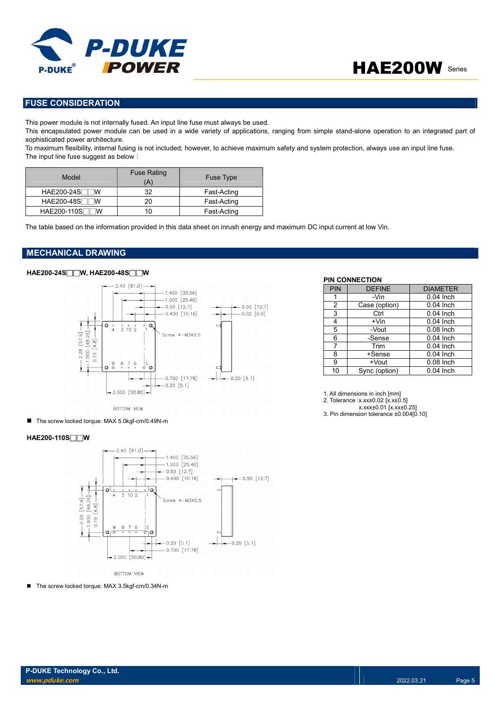

## FUSE CONSIDERATION

This power module is not internally fused. An input line fuse must always be used.

This encapsulated power module can be used in a wide variety of applications, ranging from simple stand-alone operation to an integrated part of sophisticated power architecture.

To maximum flexibility, internal fusing is not included; however, to achieve maximum safety and system protection, always use an input line fuse. The input line fuse suggest as below:

| Model                  | <b>Fuse Rating</b><br>(A' | <b>Fuse Type</b> |
|------------------------|---------------------------|------------------|
| <b>HAE200-24S</b><br>W | 32                        | Fast-Acting      |
| <b>HAE200-48S</b><br>W | 20                        | Fast-Acting      |
| HAE200-110S            |                           | Fast-Acting      |

The table based on the information provided in this data sheet on inrush energy and maximum DC input current at low Vin.

## MECHANICAL DRAWING

## HAE200-24S□□W, HAE200-48S□□W



BOTTOM VIEW

■ The screw locked torque: MAX 5.0kgf-cm/0.49N-m

### HAE200-110S□□W



**BOTTOM VIEW** 

■ The screw locked torque: MAX 3.5kgf-cm/0.34N-m

#### PIN CONNECTION

| PIN            | <b>DEFINE</b> | <b>DIAMETER</b> |
|----------------|---------------|-----------------|
| 1              | -Vin          | $0.04$ Inch     |
| $\overline{2}$ | Case (option) | $0.04$ Inch     |
| 3              | Ctrl          | $0.04$ Inch     |
| 4              | $+V$ in       | $0.04$ Inch     |
| 5              | -Vout         | $0.08$ Inch     |
| 6              | -Sense        | $0.04$ Inch     |
| 7              | Trim          | $0.04$ Inch     |
| 8              | +Sense        | 0.04 Inch       |
| 9              | +Vout         | $0.08$ Inch     |
| 10             | Sync (option) | 0.04 Inch       |

1. All dimensions in inch [mm]

2. Tolerance :x.xx±0.02 [x.x±0.5]

x.xxx±0.01 [x.xx±0.25]

3. Pin dimension tolerance ±0.004[0.10]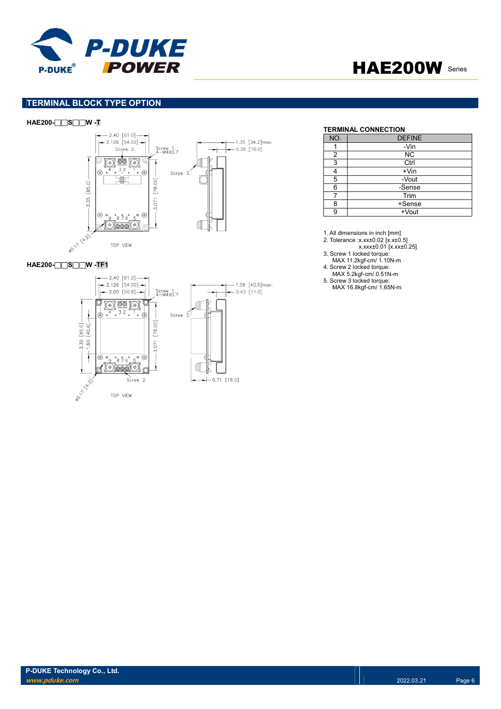



## TERMINAL BLOCK TYPE OPTION

### HAE200-□□S□□W -T



#### HAE200-**□□S□□W** -TF1



#### TERMINAL CONNECTION

| NO. | <b>DEFINE</b> |
|-----|---------------|
|     | -Vin          |
| 2   | <b>NC</b>     |
| 3   | Ctrl          |
|     | $+V$ in       |
| 5   | -Vout         |
| 6   | -Sense        |
|     | Trim          |
| ጸ   | +Sense        |
| С   | +Vout         |

1. All dimensions in inch [mm]

2. Tolerance :x.xx±0.02 [x.x±0.5]

x.xxx±0.01 [x.xx±0.25] 3. Screw 1 locked torque:

MAX 11.2kgf-cm/ 1.10N-m

4. Screw 2 locked torque:

MAX 5.2kgf-cm/ 0.51N-m

5. Screw 3 locked torque: MAX 16.8kgf-cm/ 1.65N-m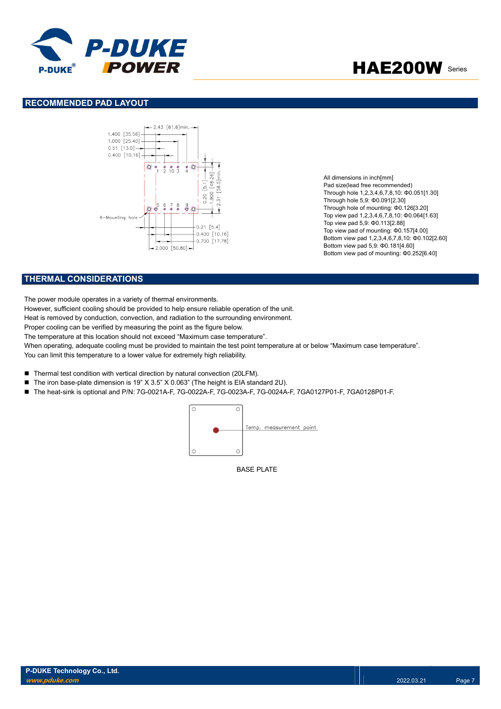

### RECOMMENDED PAD LAYOUT



All dimensions in inch[mm] Pad size(lead free recommended) Through hole 1,2,3,4,6,7,8,10: Φ0.051[1.30] Through hole 5,9: Φ0.091[2.30] Through hole of mounting: Φ0.126[3.20] Top view pad 1,2,3,4,6,7,8,10: Φ0.064[1.63] Top view pad 5,9: Φ0.113[2.88] Top view pad of mounting: Φ0.157[4.00] Bottom view pad 1,2,3,4,6,7,8,10: Φ0.102[2.60] Bottom view pad 5,9: Φ0.181[4.60] Bottom view pad of mounting: Φ0.252[6.40]

### THERMAL CONSIDERATIONS

The power module operates in a variety of thermal environments.

However, sufficient cooling should be provided to help ensure reliable operation of the unit.

Heat is removed by conduction, convection, and radiation to the surrounding environment.

Proper cooling can be verified by measuring the point as the figure below.

The temperature at this location should not exceed "Maximum case temperature".

When operating, adequate cooling must be provided to maintain the test point temperature at or below "Maximum case temperature". You can limit this temperature to a lower value for extremely high reliability.

- Thermal test condition with vertical direction by natural convection (20LFM).
- The iron base-plate dimension is 19" X 3.5" X 0.063" (The height is EIA standard 2U).
- The heat-sink is optional and P/N: 7G-0021A-F, 7G-0022A-F, 7G-0023A-F, 7G-0024A-F, 7GA0127P01-F, 7GA0128P01-F.



BASE PLATE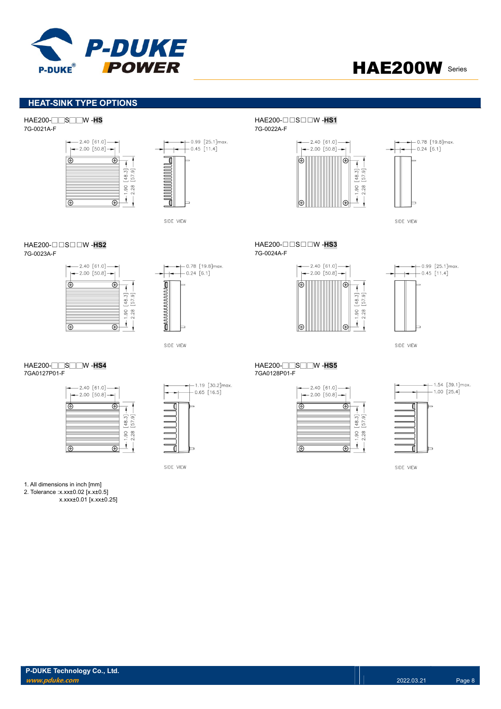



## HEAT-SINK TYPE OPTIONS

7G-0021A-F 7G-0022A-F





HAE200- $\Box$  SOOW-HS2



 $-2.40 [61.0] \rightarrow$ <br> $\leftarrow$  2.00 [50.8]  $\rightarrow$ க  $\overline{\bigcirc}$  $\overline{1}$  $-1.90 [48.3] \overline{\circ}$  $\overline{\circ}$ 



SIDE VIEW

# HAE200-□□S□□W -HS4<br>7GA0127P01-F HAE200-□□S□□W -HS5

| $-2.40 [61.0]$<br>$-2.00$ [50.8] - |               |
|------------------------------------|---------------|
|                                    | $\frac{8}{3}$ |
|                                    | 28<br>8       |

 $-1.19$  [30.2] max.  $-0.65$  [16.5]

SIDE VIEW

HAE200-□□S□□W -HS HAE200-□□S□□W -HS1





SIDE VIEW

HAE200-□□S□□W -HS2<br>7G-0023A-F<br>7G-0023A-F 7G-0023A-F 7G-0024A-F





SIDE VIEW

# 7GA0128P01-F

| $-2.40 [61.0]$<br>$-2.00$ [50.8] |             |
|----------------------------------|-------------|
|                                  | M           |
|                                  | 48.         |
|                                  | 28<br>$-90$ |
|                                  |             |



SIDE VIEW

1. All dimensions in inch [mm]

2. Tolerance :x.xx±0.02 [x.x±0.5]

x.xxx±0.01 [x.xx±0.25]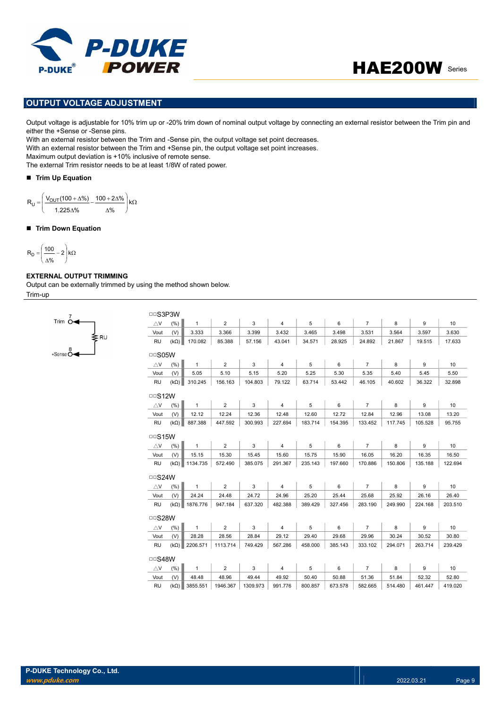

## OUTPUT VOLTAGE ADJUSTMENT

Output voltage is adjustable for 10% trim up or -20% trim down of nominal output voltage by connecting an external resistor between the Trim pin and either the +Sense or -Sense pins.

With an external resistor between the Trim and -Sense pin, the output voltage set point decreases. With an external resistor between the Trim and +Sense pin, the output voltage set point increases.

Maximum output deviation is +10% inclusive of remote sense.

The external Trim resistor needs to be at least 1/8W of rated power.

### Trim Up Equation

 $\overline{\phantom{a}}$ 

$$
R_U = \left(\frac{V_{OUT}(100 + \Delta\%)}{1.225\Delta\%} - \frac{100 + 2\Delta\%}{\Delta\%}\right)k\Omega
$$

### ■ Trim Down Equation

$$
R_D=\left(\frac{100}{\Delta\%}-2\right)k\Omega
$$

### EXTERNAL OUTPUT TRIMMING

 $+$ Sense  $\stackrel{8}{\bullet}$ 

Trim  $64$ 

Output can be externally trimmed by using the method shown below. Trim-up

| $\triangle$ V | (% )        | $\mathbf{1}$         | $\overline{2}$ | 3        | $\overline{4}$ | 5       | 6       | $\overline{7}$ | 8       | 9       |
|---------------|-------------|----------------------|----------------|----------|----------------|---------|---------|----------------|---------|---------|
|               |             |                      |                |          |                |         |         |                |         |         |
| Vout          | (V)         | 3.333                | 3.366          | 3.399    | 3.432          | 3.465   | 3.498   | 3.531          | 3.564   | 3.597   |
| <b>RU</b>     | $(k\Omega)$ | 170.082              | 85.388         | 57.156   | 43.041         | 34.571  | 28.925  | 24.892         | 21.867  | 19.515  |
| $\Box$ SO5W   |             |                      |                |          |                |         |         |                |         |         |
| $\triangle$ V | (% )        | $\mathbf{1}$         | $\overline{2}$ | 3        | $\overline{4}$ | 5       | 6       | $\overline{7}$ | 8       | 9       |
| Vout          | (V)         | 5.05                 | 5.10           | 5.15     | 5.20           | 5.25    | 5.30    | 5.35           | 5.40    | 5.45    |
| RU            | $(k\Omega)$ | 310.245              | 156.163        | 104.803  | 79.122         | 63.714  | 53.442  | 46.105         | 40.602  | 36.322  |
| $\Box$ S12W   |             |                      |                |          |                |         |         |                |         |         |
| $\triangle$ V | (% )        | $\mathbf{1}$         | $\overline{2}$ | 3        | $\overline{4}$ | 5       | 6       | $\overline{7}$ | 8       | 9       |
| Vout          | (V)         | 12.12                | 12.24          | 12.36    | 12.48          | 12.60   | 12.72   | 12.84          | 12.96   | 13.08   |
| <b>RU</b>     | $(k\Omega)$ | 887.388              | 447.592        | 300.993  | 227.694        | 183.714 | 154.395 | 133.452        | 117.745 | 105.528 |
| $\Box$ S15W   |             |                      |                |          |                |         |         |                |         |         |
| $\triangle$ V | (% )        | $\mathbf{1}$         | $\overline{2}$ | 3        | $\overline{4}$ | 5       | 6       | $\overline{7}$ | 8       | 9       |
| Vout          | (V)         | 15.15                | 15.30          | 15.45    | 15.60          | 15.75   | 15.90   | 16.05          | 16.20   | 16.35   |
| <b>RU</b>     |             | $(k\Omega)$ 1134.735 | 572.490        | 385.075  | 291.367        | 235.143 | 197.660 | 170.886        | 150.806 | 135.188 |
| $\Box$ S24W   |             |                      |                |          |                |         |         |                |         |         |
| $\triangle$ V | (%)         | $\mathbf{1}$         | $\overline{2}$ | 3        | $\overline{4}$ | 5       | 6       | $\overline{7}$ | 8       | 9       |
| Vout          | (V)         | 24.24                | 24.48          | 24.72    | 24.96          | 25.20   | 25.44   | 25.68          | 25.92   | 26.16   |
| RU            | $(k\Omega)$ | 1876.776             | 947.184        | 637.320  | 482.388        | 389.429 | 327.456 | 283.190        | 249.990 | 224.168 |
| □□S28W        |             |                      |                |          |                |         |         |                |         |         |
| $\triangle$ V | (%)         | $\mathbf{1}$         | $\overline{2}$ | 3        | 4              | 5       | 6       | $\overline{7}$ | 8       | 9       |
| Vout          | (V)         | 28.28                | 28.56          | 28.84    | 29.12          | 29.40   | 29.68   | 29.96          | 30.24   | 30.52   |
| <b>RU</b>     | $(k\Omega)$ | 2206.571             | 1113.714       | 749.429  | 567.286        | 458.000 | 385.143 | 333.102        | 294.071 | 263.714 |
| $\Box$ S48W   |             |                      |                |          |                |         |         |                |         |         |
| $\triangle$ V | (% )        | $\mathbf{1}$         | $\overline{2}$ | 3        | $\overline{4}$ | 5       | 6       | $\overline{7}$ | 8       | 9       |
| Vout          | (V)         | 48.48                | 48.96          | 49.44    | 49.92          | 50.40   | 50.88   | 51.36          | 51.84   | 52.32   |
|               |             | 3855.551             | 1946.367       | 1309.973 | 991.776        | 800.857 | 673.578 | 582.665        | 514.480 | 461.447 |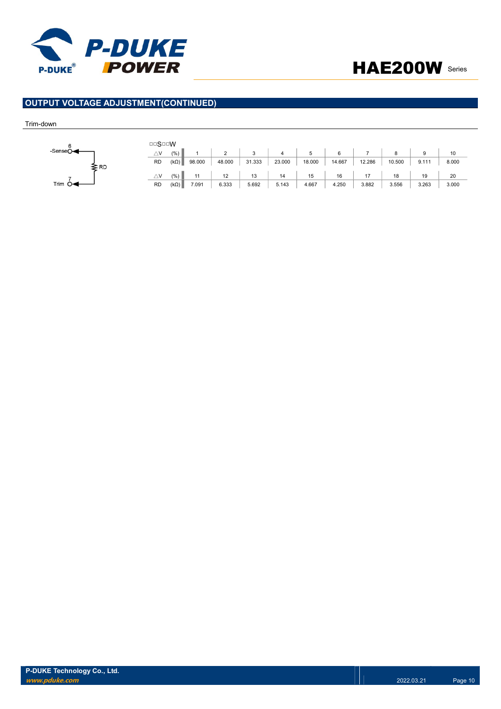



## OUTPUT VOLTAGE ADJUSTMENT(CONTINUED)

### Trim-down